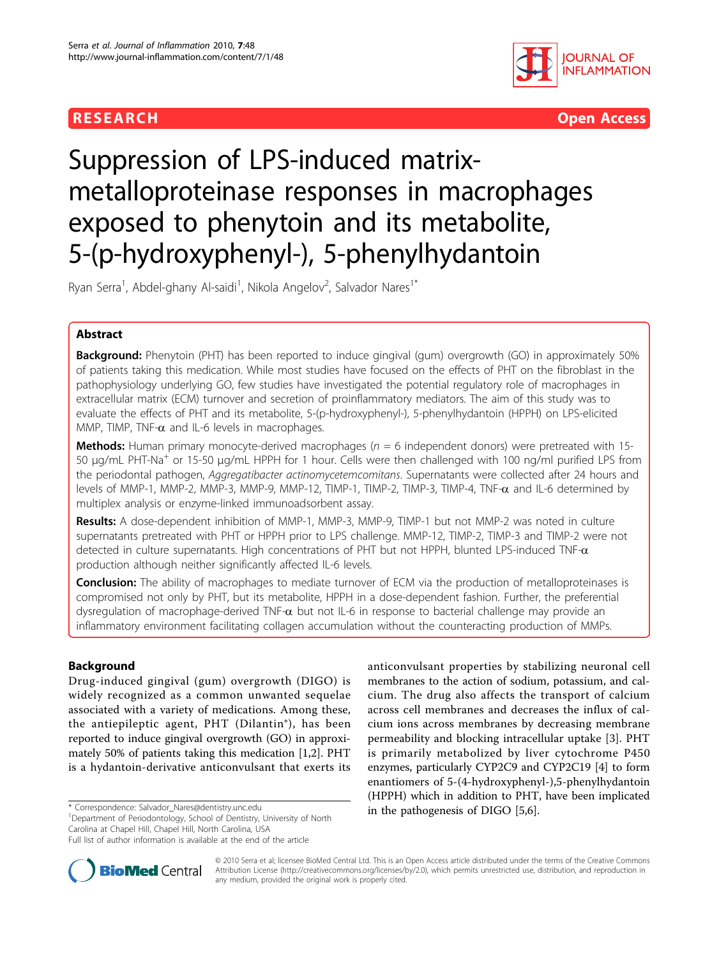



# Suppression of LPS-induced matrixmetalloproteinase responses in macrophages exposed to phenytoin and its metabolite, 5-(p-hydroxyphenyl-), 5-phenylhydantoin

Ryan Serra<sup>1</sup>, Abdel-ghany Al-saidi<sup>1</sup>, Nikola Angelov<sup>2</sup>, Salvador Nares<sup>1\*</sup>

# Abstract

**Background:** Phenytoin (PHT) has been reported to induce gingival (gum) overgrowth (GO) in approximately 50% of patients taking this medication. While most studies have focused on the effects of PHT on the fibroblast in the pathophysiology underlying GO, few studies have investigated the potential regulatory role of macrophages in extracellular matrix (ECM) turnover and secretion of proinflammatory mediators. The aim of this study was to evaluate the effects of PHT and its metabolite, 5-(p-hydroxyphenyl-), 5-phenylhydantoin (HPPH) on LPS-elicited MMP, TIMP, TNF- $\alpha$  and IL-6 levels in macrophages.

**Methods:** Human primary monocyte-derived macrophages ( $n = 6$  independent donors) were pretreated with 15-50 μg/mL PHT-Na<sup>+</sup> or 15-50 μg/mL HPPH for 1 hour. Cells were then challenged with 100 ng/ml purified LPS from the periodontal pathogen, Aggregatibacter actinomycetemcomitans. Supernatants were collected after 24 hours and levels of MMP-1, MMP-2, MMP-3, MMP-9, MMP-12, TIMP-1, TIMP-2, TIMP-3, TIMP-4, TNF- $\alpha$  and IL-6 determined by multiplex analysis or enzyme-linked immunoadsorbent assay.

Results: A dose-dependent inhibition of MMP-1, MMP-3, MMP-9, TIMP-1 but not MMP-2 was noted in culture supernatants pretreated with PHT or HPPH prior to LPS challenge. MMP-12, TIMP-2, TIMP-3 and TIMP-2 were not detected in culture supernatants. High concentrations of PHT but not HPPH, blunted LPS-induced TNF- $\alpha$ production although neither significantly affected IL-6 levels.

Conclusion: The ability of macrophages to mediate turnover of ECM via the production of metalloproteinases is compromised not only by PHT, but its metabolite, HPPH in a dose-dependent fashion. Further, the preferential dysregulation of macrophage-derived TNF- $\alpha$  but not IL-6 in response to bacterial challenge may provide an inflammatory environment facilitating collagen accumulation without the counteracting production of MMPs.

# Background

Drug-induced gingival (gum) overgrowth (DIGO) is widely recognized as a common unwanted sequelae associated with a variety of medications. Among these, the antiepileptic agent, PHT (Dilantin®), has been reported to induce gingival overgrowth (GO) in approximately 50% of patients taking this medication [[1,2\]](#page-7-0). PHT is a hydantoin-derivative anticonvulsant that exerts its

<sup>1</sup>Department of Periodontology, School of Dentistry, University of North Carolina at Chapel Hill, Chapel Hill, North Carolina, USA

anticonvulsant properties by stabilizing neuronal cell membranes to the action of sodium, potassium, and calcium. The drug also affects the transport of calcium across cell membranes and decreases the influx of calcium ions across membranes by decreasing membrane permeability and blocking intracellular uptake [[3\]](#page-7-0). PHT is primarily metabolized by liver cytochrome P450 enzymes, particularly CYP2C9 and CYP2C19 [\[4\]](#page-7-0) to form enantiomers of 5-(4-hydroxyphenyl-),5-phenylhydantoin (HPPH) which in addition to PHT, have been implicated in the pathogenesis of DIGO [\[5,6\]](#page-7-0). \* Correspondence: [Salvador\\_Nares@dentistry.unc.edu](mailto:Salvador_Nares@dentistry.unc.edu)



© 2010 Serra et al; licensee BioMed Central Ltd. This is an Open Access article distributed under the terms of the Creative Commons Attribution License [\(http://creativecommons.org/licenses/by/2.0](http://creativecommons.org/licenses/by/2.0)), which permits unrestricted use, distribution, and reproduction in any medium, provided the original work is properly cited.

Full list of author information is available at the end of the article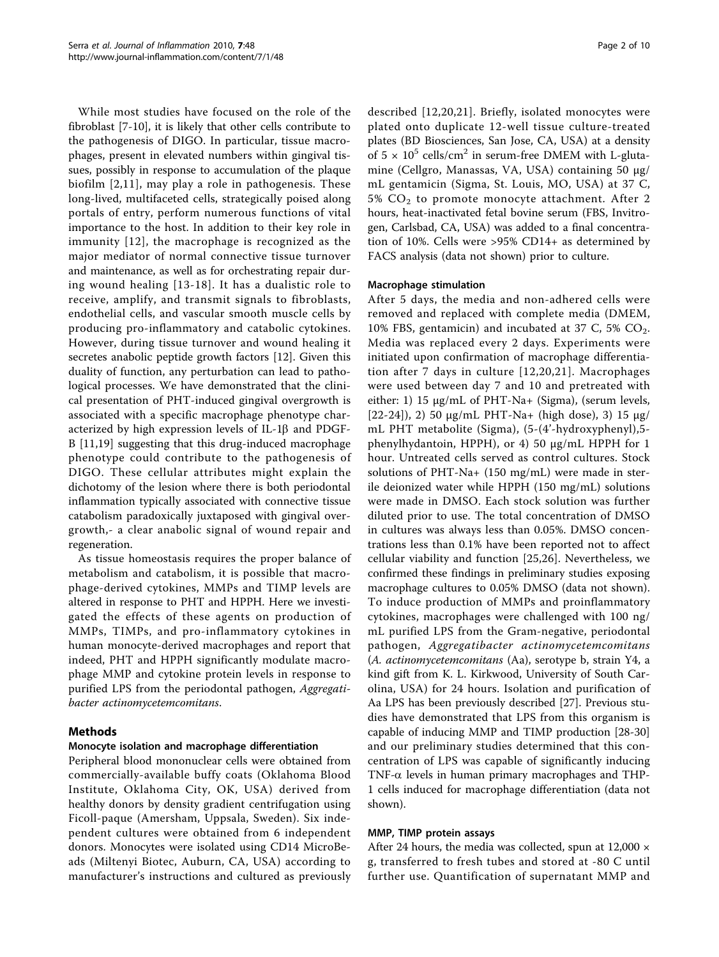While most studies have focused on the role of the fibroblast [\[7](#page-7-0)-[10\]](#page-7-0), it is likely that other cells contribute to the pathogenesis of DIGO. In particular, tissue macrophages, present in elevated numbers within gingival tissues, possibly in response to accumulation of the plaque biofilm [[2](#page-7-0),[11](#page-8-0)], may play a role in pathogenesis. These long-lived, multifaceted cells, strategically poised along portals of entry, perform numerous functions of vital importance to the host. In addition to their key role in immunity [[12](#page-8-0)], the macrophage is recognized as the major mediator of normal connective tissue turnover and maintenance, as well as for orchestrating repair during wound healing [[13-18](#page-8-0)]. It has a dualistic role to receive, amplify, and transmit signals to fibroblasts, endothelial cells, and vascular smooth muscle cells by producing pro-inflammatory and catabolic cytokines. However, during tissue turnover and wound healing it secretes anabolic peptide growth factors [[12](#page-8-0)]. Given this duality of function, any perturbation can lead to pathological processes. We have demonstrated that the clinical presentation of PHT-induced gingival overgrowth is associated with a specific macrophage phenotype characterized by high expression levels of IL-1 $\beta$  and PDGF-B [\[11,19](#page-8-0)] suggesting that this drug-induced macrophage phenotype could contribute to the pathogenesis of DIGO. These cellular attributes might explain the dichotomy of the lesion where there is both periodontal inflammation typically associated with connective tissue catabolism paradoxically juxtaposed with gingival overgrowth,- a clear anabolic signal of wound repair and regeneration.

As tissue homeostasis requires the proper balance of metabolism and catabolism, it is possible that macrophage-derived cytokines, MMPs and TIMP levels are altered in response to PHT and HPPH. Here we investigated the effects of these agents on production of MMPs, TIMPs, and pro-inflammatory cytokines in human monocyte-derived macrophages and report that indeed, PHT and HPPH significantly modulate macrophage MMP and cytokine protein levels in response to purified LPS from the periodontal pathogen, Aggregatibacter actinomycetemcomitans.

# Methods

# Monocyte isolation and macrophage differentiation

Peripheral blood mononuclear cells were obtained from commercially-available buffy coats (Oklahoma Blood Institute, Oklahoma City, OK, USA) derived from healthy donors by density gradient centrifugation using Ficoll-paque (Amersham, Uppsala, Sweden). Six independent cultures were obtained from 6 independent donors. Monocytes were isolated using CD14 MicroBeads (Miltenyi Biotec, Auburn, CA, USA) according to manufacturer's instructions and cultured as previously described [[12,20,21\]](#page-8-0). Briefly, isolated monocytes were plated onto duplicate 12-well tissue culture-treated plates (BD Biosciences, San Jose, CA, USA) at a density of  $5 \times 10^5$  cells/cm<sup>2</sup> in serum-free DMEM with L-glutamine (Cellgro, Manassas, VA, USA) containing 50 μg/ mL gentamicin (Sigma, St. Louis, MO, USA) at 37 C, 5% CO2 to promote monocyte attachment. After 2 hours, heat-inactivated fetal bovine serum (FBS, Invitrogen, Carlsbad, CA, USA) was added to a final concentration of 10%. Cells were >95% CD14+ as determined by FACS analysis (data not shown) prior to culture.

# Macrophage stimulation

After 5 days, the media and non-adhered cells were removed and replaced with complete media (DMEM, 10% FBS, gentamicin) and incubated at 37 C, 5%  $CO<sub>2</sub>$ . Media was replaced every 2 days. Experiments were initiated upon confirmation of macrophage differentiation after 7 days in culture [[12](#page-8-0),[20](#page-8-0),[21](#page-8-0)]. Macrophages were used between day 7 and 10 and pretreated with either: 1) 15 μg/mL of PHT-Na+ (Sigma), (serum levels,  $[22-24]$  $[22-24]$  $[22-24]$  $[22-24]$ , 2) 50 μg/mL PHT-Na+ (high dose), 3) 15 μg/ mL PHT metabolite (Sigma), (5-(4'-hydroxyphenyl),5 phenylhydantoin, HPPH), or 4) 50 μg/mL HPPH for 1 hour. Untreated cells served as control cultures. Stock solutions of PHT-Na+ (150 mg/mL) were made in sterile deionized water while HPPH (150 mg/mL) solutions were made in DMSO. Each stock solution was further diluted prior to use. The total concentration of DMSO in cultures was always less than 0.05%. DMSO concentrations less than 0.1% have been reported not to affect cellular viability and function [[25,26](#page-8-0)]. Nevertheless, we confirmed these findings in preliminary studies exposing macrophage cultures to 0.05% DMSO (data not shown). To induce production of MMPs and proinflammatory cytokines, macrophages were challenged with 100 ng/ mL purified LPS from the Gram-negative, periodontal pathogen, Aggregatibacter actinomycetemcomitans (A. actinomycetemcomitans (Aa), serotype b, strain Y4, a kind gift from K. L. Kirkwood, University of South Carolina, USA) for 24 hours. Isolation and purification of Aa LPS has been previously described [[27\]](#page-8-0). Previous studies have demonstrated that LPS from this organism is capable of inducing MMP and TIMP production [\[28](#page-8-0)-[30](#page-8-0)] and our preliminary studies determined that this concentration of LPS was capable of significantly inducing TNF- $\alpha$  levels in human primary macrophages and THP-1 cells induced for macrophage differentiation (data not shown).

# MMP, TIMP protein assays

After 24 hours, the media was collected, spun at  $12,000 \times$ g, transferred to fresh tubes and stored at -80 C until further use. Quantification of supernatant MMP and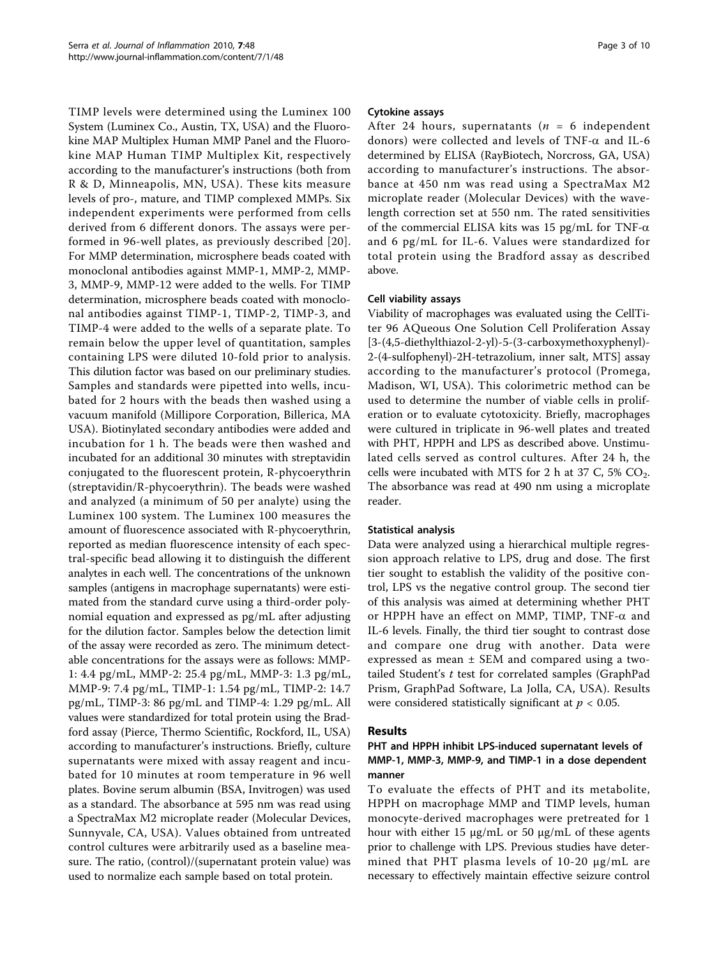TIMP levels were determined using the Luminex 100 System (Luminex Co., Austin, TX, USA) and the Fluorokine MAP Multiplex Human MMP Panel and the Fluorokine MAP Human TIMP Multiplex Kit, respectively according to the manufacturer's instructions (both from R & D, Minneapolis, MN, USA). These kits measure levels of pro-, mature, and TIMP complexed MMPs. Six independent experiments were performed from cells derived from 6 different donors. The assays were performed in 96-well plates, as previously described [[20\]](#page-8-0). For MMP determination, microsphere beads coated with monoclonal antibodies against MMP-1, MMP-2, MMP-3, MMP-9, MMP-12 were added to the wells. For TIMP determination, microsphere beads coated with monoclonal antibodies against TIMP-1, TIMP-2, TIMP-3, and TIMP-4 were added to the wells of a separate plate. To remain below the upper level of quantitation, samples containing LPS were diluted 10-fold prior to analysis. This dilution factor was based on our preliminary studies. Samples and standards were pipetted into wells, incubated for 2 hours with the beads then washed using a vacuum manifold (Millipore Corporation, Billerica, MA USA). Biotinylated secondary antibodies were added and incubation for 1 h. The beads were then washed and incubated for an additional 30 minutes with streptavidin conjugated to the fluorescent protein, R-phycoerythrin (streptavidin/R-phycoerythrin). The beads were washed and analyzed (a minimum of 50 per analyte) using the Luminex 100 system. The Luminex 100 measures the amount of fluorescence associated with R-phycoerythrin, reported as median fluorescence intensity of each spectral-specific bead allowing it to distinguish the different analytes in each well. The concentrations of the unknown samples (antigens in macrophage supernatants) were estimated from the standard curve using a third-order polynomial equation and expressed as pg/mL after adjusting for the dilution factor. Samples below the detection limit of the assay were recorded as zero. The minimum detectable concentrations for the assays were as follows: MMP-1: 4.4 pg/mL, MMP-2: 25.4 pg/mL, MMP-3: 1.3 pg/mL, MMP-9: 7.4 pg/mL, TIMP-1: 1.54 pg/mL, TIMP-2: 14.7 pg/mL, TIMP-3: 86 pg/mL and TIMP-4: 1.29 pg/mL. All values were standardized for total protein using the Bradford assay (Pierce, Thermo Scientific, Rockford, IL, USA) according to manufacturer's instructions. Briefly, culture supernatants were mixed with assay reagent and incubated for 10 minutes at room temperature in 96 well plates. Bovine serum albumin (BSA, Invitrogen) was used as a standard. The absorbance at 595 nm was read using a SpectraMax M2 microplate reader (Molecular Devices, Sunnyvale, CA, USA). Values obtained from untreated control cultures were arbitrarily used as a baseline measure. The ratio, (control)/(supernatant protein value) was used to normalize each sample based on total protein.

# Cytokine assays

After 24 hours, supernatants ( $n = 6$  independent donors) were collected and levels of TNF- $\alpha$  and IL-6 determined by ELISA (RayBiotech, Norcross, GA, USA) according to manufacturer's instructions. The absorbance at 450 nm was read using a SpectraMax M2 microplate reader (Molecular Devices) with the wavelength correction set at 550 nm. The rated sensitivities of the commercial ELISA kits was 15 pg/mL for TNF- $\alpha$ and 6 pg/mL for IL-6. Values were standardized for total protein using the Bradford assay as described above.

# Cell viability assays

Viability of macrophages was evaluated using the CellTiter 96 AQueous One Solution Cell Proliferation Assay [3-(4,5-diethylthiazol-2-yl)-5-(3-carboxymethoxyphenyl)- 2-(4-sulfophenyl)-2H-tetrazolium, inner salt, MTS] assay according to the manufacturer's protocol (Promega, Madison, WI, USA). This colorimetric method can be used to determine the number of viable cells in proliferation or to evaluate cytotoxicity. Briefly, macrophages were cultured in triplicate in 96-well plates and treated with PHT, HPPH and LPS as described above. Unstimulated cells served as control cultures. After 24 h, the cells were incubated with MTS for 2 h at 37 C, 5%  $CO<sub>2</sub>$ . The absorbance was read at 490 nm using a microplate reader.

#### Statistical analysis

Data were analyzed using a hierarchical multiple regression approach relative to LPS, drug and dose. The first tier sought to establish the validity of the positive control, LPS vs the negative control group. The second tier of this analysis was aimed at determining whether PHT or HPPH have an effect on MMP, TIMP, TNF- $\alpha$  and IL-6 levels. Finally, the third tier sought to contrast dose and compare one drug with another. Data were expressed as mean ± SEM and compared using a twotailed Student'<sup>s</sup> t test for correlated samples (GraphPad Prism, GraphPad Software, La Jolla, CA, USA). Results were considered statistically significant at  $p < 0.05$ .

#### Results

# PHT and HPPH inhibit LPS-induced supernatant levels of MMP-1, MMP-3, MMP-9, and TIMP-1 in a dose dependent manner

To evaluate the effects of PHT and its metabolite, HPPH on macrophage MMP and TIMP levels, human monocyte-derived macrophages were pretreated for 1 hour with either 15 μg/mL or 50 μg/mL of these agents prior to challenge with LPS. Previous studies have determined that PHT plasma levels of 10-20 μg/mL are necessary to effectively maintain effective seizure control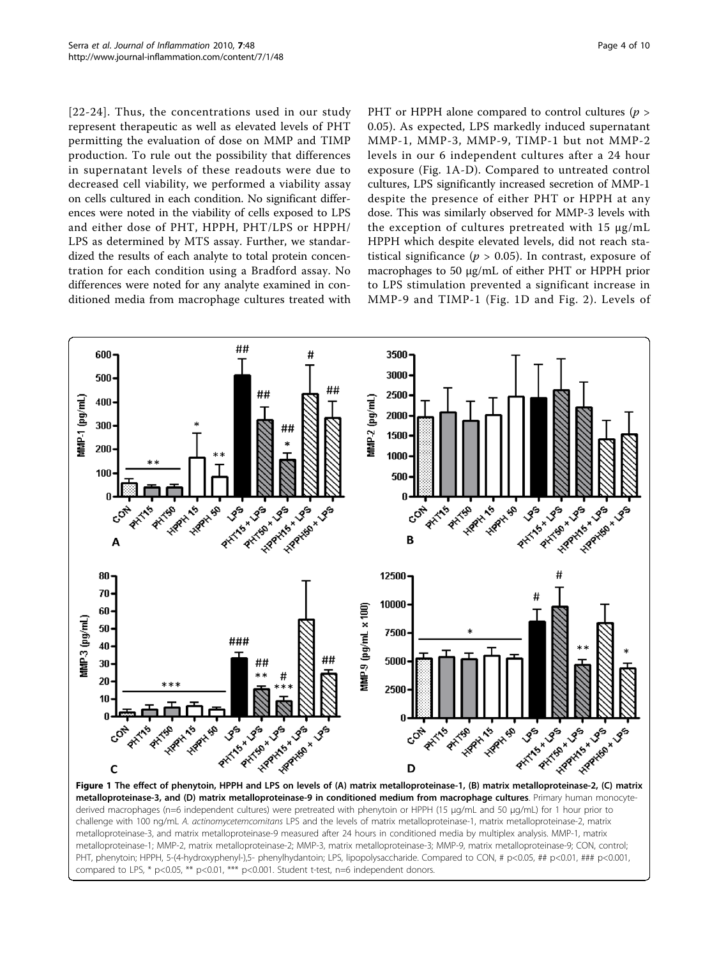<span id="page-3-0"></span>[[22-24](#page-8-0)]. Thus, the concentrations used in our study represent therapeutic as well as elevated levels of PHT permitting the evaluation of dose on MMP and TIMP production. To rule out the possibility that differences in supernatant levels of these readouts were due to decreased cell viability, we performed a viability assay on cells cultured in each condition. No significant differences were noted in the viability of cells exposed to LPS and either dose of PHT, HPPH, PHT/LPS or HPPH/ LPS as determined by MTS assay. Further, we standardized the results of each analyte to total protein concentration for each condition using a Bradford assay. No differences were noted for any analyte examined in conditioned media from macrophage cultures treated with PHT or HPPH alone compared to control cultures ( $p >$ 0.05). As expected, LPS markedly induced supernatant MMP-1, MMP-3, MMP-9, TIMP-1 but not MMP-2 levels in our 6 independent cultures after a 24 hour exposure (Fig. 1A-D). Compared to untreated control cultures, LPS significantly increased secretion of MMP-1 despite the presence of either PHT or HPPH at any dose. This was similarly observed for MMP-3 levels with the exception of cultures pretreated with 15 μg/mL HPPH which despite elevated levels, did not reach statistical significance ( $p > 0.05$ ). In contrast, exposure of macrophages to 50 μg/mL of either PHT or HPPH prior to LPS stimulation prevented a significant increase in MMP-9 and TIMP-1 (Fig. 1D and Fig. [2\)](#page-4-0). Levels of



metalloproteinase-3, and (D) matrix metalloproteinase-9 in conditioned medium from macrophage cultures. Primary human monocytederived macrophages (n=6 independent cultures) were pretreated with phenytoin or HPPH (15 μg/mL and 50 μg/mL) for 1 hour prior to challenge with 100 ng/mL A. actinomycetemcomitans LPS and the levels of matrix metalloproteinase-1, matrix metalloproteinase-2, matrix metalloproteinase-3, and matrix metalloproteinase-9 measured after 24 hours in conditioned media by multiplex analysis. MMP-1, matrix metalloproteinase-1; MMP-2, matrix metalloproteinase-2; MMP-3, matrix metalloproteinase-3; MMP-9, matrix metalloproteinase-9; CON, control; PHT, phenytoin; HPPH, 5-(4-hydroxyphenyl-),5- phenylhydantoin; LPS, lipopolysaccharide. Compared to CON, # p<0.05, ## p<0.01, ### p<0.001, compared to LPS, \* p<0.05, \*\* p<0.01, \*\*\* p<0.001. Student t-test, n=6 independent donors.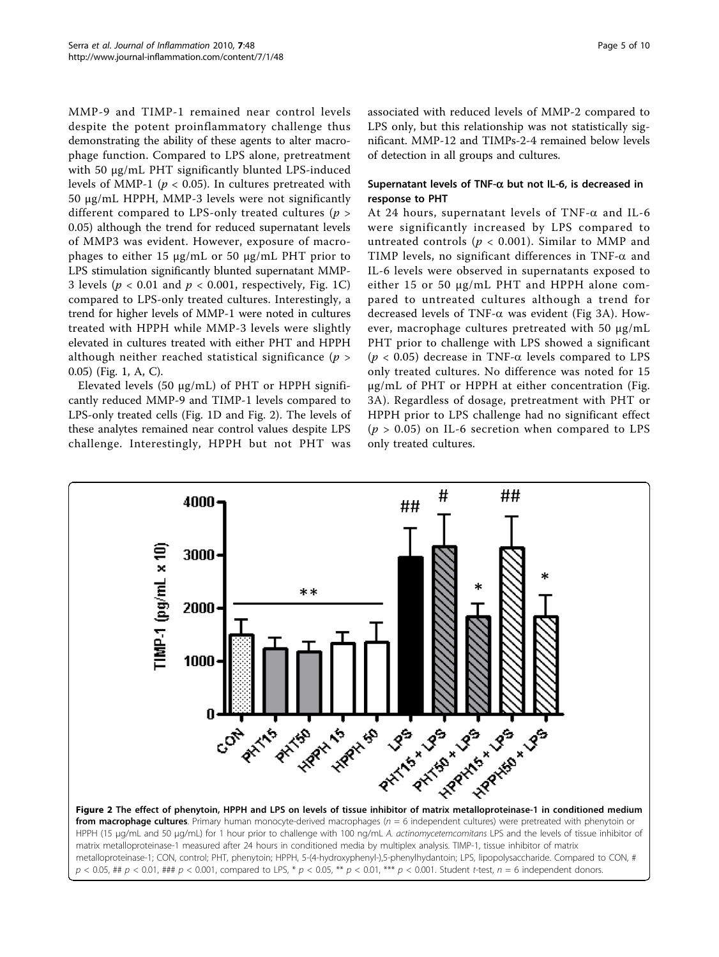<span id="page-4-0"></span>MMP-9 and TIMP-1 remained near control levels despite the potent proinflammatory challenge thus demonstrating the ability of these agents to alter macrophage function. Compared to LPS alone, pretreatment with 50 μg/mL PHT significantly blunted LPS-induced levels of MMP-1 ( $p < 0.05$ ). In cultures pretreated with 50 μg/mL HPPH, MMP-3 levels were not significantly different compared to LPS-only treated cultures ( $p >$ 0.05) although the trend for reduced supernatant levels of MMP3 was evident. However, exposure of macrophages to either 15 μg/mL or 50 μg/mL PHT prior to LPS stimulation significantly blunted supernatant MMP-3 levels ( $p < 0.01$  and  $p < 0.001$ , respectively, Fig. [1C](#page-3-0)) compared to LPS-only treated cultures. Interestingly, a trend for higher levels of MMP-1 were noted in cultures treated with HPPH while MMP-3 levels were slightly elevated in cultures treated with either PHT and HPPH although neither reached statistical significance ( $p >$ 0.05) (Fig. [1, A, C\)](#page-3-0).

Elevated levels (50 μg/mL) of PHT or HPPH significantly reduced MMP-9 and TIMP-1 levels compared to LPS-only treated cells (Fig. [1D](#page-3-0) and Fig. 2). The levels of these analytes remained near control values despite LPS challenge. Interestingly, HPPH but not PHT was associated with reduced levels of MMP-2 compared to LPS only, but this relationship was not statistically significant. MMP-12 and TIMPs-2-4 remained below levels of detection in all groups and cultures.

# Supernatant levels of TNF- $\alpha$  but not IL-6, is decreased in response to PHT

At 24 hours, supernatant levels of TNF- $\alpha$  and IL-6 were significantly increased by LPS compared to untreated controls ( $p < 0.001$ ). Similar to MMP and TIMP levels, no significant differences in TNF- $\alpha$  and IL-6 levels were observed in supernatants exposed to either 15 or 50 μg/mL PHT and HPPH alone compared to untreated cultures although a trend for decreased levels of TNF- $\alpha$  was evident (Fig [3A\)](#page-5-0). However, macrophage cultures pretreated with 50 μg/mL PHT prior to challenge with LPS showed a significant ( $p < 0.05$ ) decrease in TNF- $\alpha$  levels compared to LPS only treated cultures. No difference was noted for 15 μg/mL of PHT or HPPH at either concentration (Fig. [3A](#page-5-0)). Regardless of dosage, pretreatment with PHT or HPPH prior to LPS challenge had no significant effect  $(p > 0.05)$  on IL-6 secretion when compared to LPS only treated cultures.

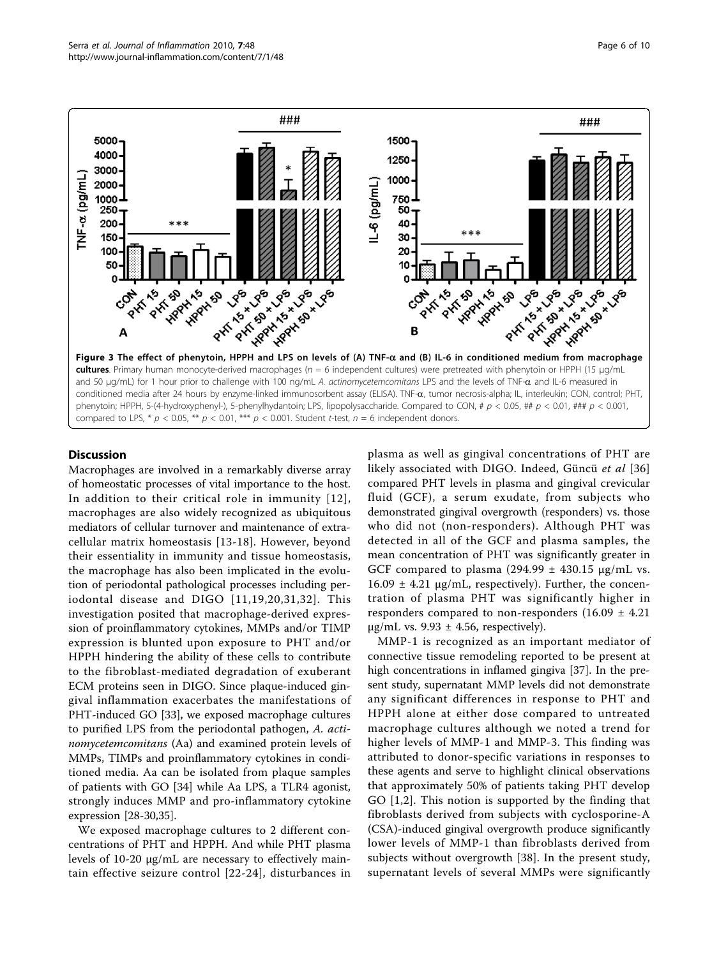<span id="page-5-0"></span>

## **Discussion**

Macrophages are involved in a remarkably diverse array of homeostatic processes of vital importance to the host. In addition to their critical role in immunity [[12\]](#page-8-0), macrophages are also widely recognized as ubiquitous mediators of cellular turnover and maintenance of extracellular matrix homeostasis [\[13-18\]](#page-8-0). However, beyond their essentiality in immunity and tissue homeostasis, the macrophage has also been implicated in the evolution of periodontal pathological processes including periodontal disease and DIGO [[11,19](#page-8-0),[20](#page-8-0),[31,32](#page-8-0)]. This investigation posited that macrophage-derived expression of proinflammatory cytokines, MMPs and/or TIMP expression is blunted upon exposure to PHT and/or HPPH hindering the ability of these cells to contribute to the fibroblast-mediated degradation of exuberant ECM proteins seen in DIGO. Since plaque-induced gingival inflammation exacerbates the manifestations of PHT-induced GO [[33](#page-8-0)], we exposed macrophage cultures to purified LPS from the periodontal pathogen, A. actinomycetemcomitans (Aa) and examined protein levels of MMPs, TIMPs and proinflammatory cytokines in conditioned media. Aa can be isolated from plaque samples of patients with GO [[34\]](#page-8-0) while Aa LPS, a TLR4 agonist, strongly induces MMP and pro-inflammatory cytokine expression [\[28-30,35\]](#page-8-0).

We exposed macrophage cultures to 2 different concentrations of PHT and HPPH. And while PHT plasma levels of 10-20 μg/mL are necessary to effectively maintain effective seizure control [[22](#page-8-0)-[24](#page-8-0)], disturbances in plasma as well as gingival concentrations of PHT are likely associated with DIGO. Indeed, Güncü et al [\[36](#page-8-0)] compared PHT levels in plasma and gingival crevicular fluid (GCF), a serum exudate, from subjects who demonstrated gingival overgrowth (responders) vs. those who did not (non-responders). Although PHT was detected in all of the GCF and plasma samples, the mean concentration of PHT was significantly greater in GCF compared to plasma (294.99  $\pm$  430.15  $\mu$ g/mL vs.  $16.09 \pm 4.21$  µg/mL, respectively). Further, the concentration of plasma PHT was significantly higher in responders compared to non-responders  $(16.09 \pm 4.21)$  $\mu$ g/mL vs. 9.93  $\pm$  4.56, respectively).

MMP-1 is recognized as an important mediator of connective tissue remodeling reported to be present at high concentrations in inflamed gingiva [\[37\]](#page-8-0). In the present study, supernatant MMP levels did not demonstrate any significant differences in response to PHT and HPPH alone at either dose compared to untreated macrophage cultures although we noted a trend for higher levels of MMP-1 and MMP-3. This finding was attributed to donor-specific variations in responses to these agents and serve to highlight clinical observations that approximately 50% of patients taking PHT develop GO [[1,2](#page-7-0)]. This notion is supported by the finding that fibroblasts derived from subjects with cyclosporine-A (CSA)-induced gingival overgrowth produce significantly lower levels of MMP-1 than fibroblasts derived from subjects without overgrowth [[38\]](#page-8-0). In the present study, supernatant levels of several MMPs were significantly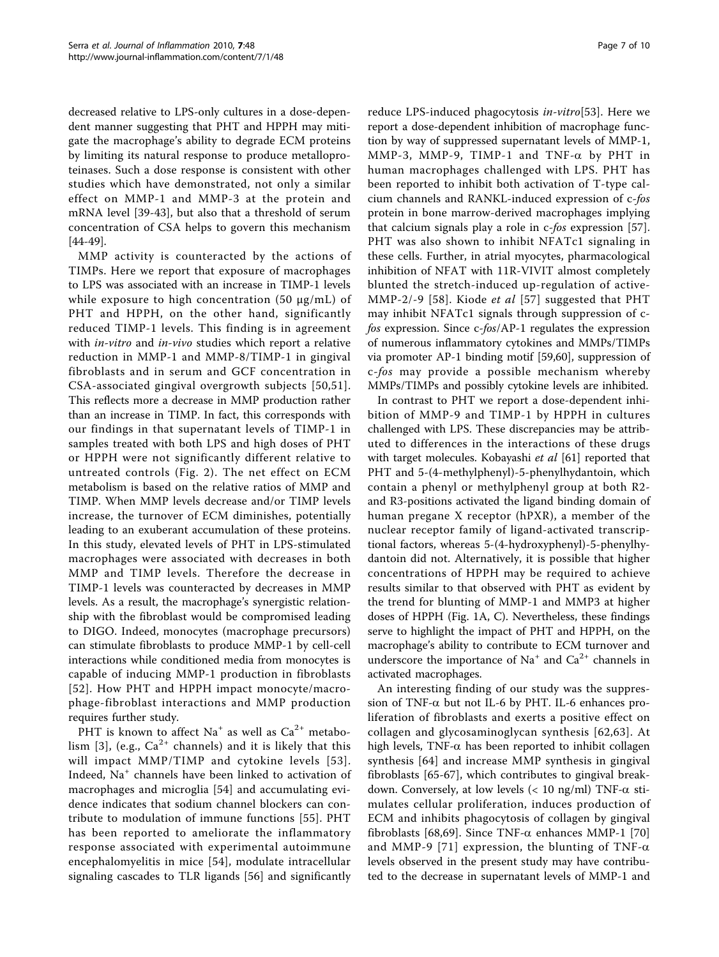decreased relative to LPS-only cultures in a dose-dependent manner suggesting that PHT and HPPH may mitigate the macrophage's ability to degrade ECM proteins by limiting its natural response to produce metalloproteinases. Such a dose response is consistent with other studies which have demonstrated, not only a similar effect on MMP-1 and MMP-3 at the protein and mRNA level [\[39](#page-8-0)-[43\]](#page-8-0), but also that a threshold of serum concentration of CSA helps to govern this mechanism [[44-49\]](#page-8-0).

MMP activity is counteracted by the actions of TIMPs. Here we report that exposure of macrophages to LPS was associated with an increase in TIMP-1 levels while exposure to high concentration  $(50 \mu g/mL)$  of PHT and HPPH, on the other hand, significantly reduced TIMP-1 levels. This finding is in agreement with *in-vitro* and *in-vivo* studies which report a relative reduction in MMP-1 and MMP-8/TIMP-1 in gingival fibroblasts and in serum and GCF concentration in CSA-associated gingival overgrowth subjects [[50,51\]](#page-8-0). This reflects more a decrease in MMP production rather than an increase in TIMP. In fact, this corresponds with our findings in that supernatant levels of TIMP-1 in samples treated with both LPS and high doses of PHT or HPPH were not significantly different relative to untreated controls (Fig. [2](#page-4-0)). The net effect on ECM metabolism is based on the relative ratios of MMP and TIMP. When MMP levels decrease and/or TIMP levels increase, the turnover of ECM diminishes, potentially leading to an exuberant accumulation of these proteins. In this study, elevated levels of PHT in LPS-stimulated macrophages were associated with decreases in both MMP and TIMP levels. Therefore the decrease in TIMP-1 levels was counteracted by decreases in MMP levels. As a result, the macrophage's synergistic relationship with the fibroblast would be compromised leading to DIGO. Indeed, monocytes (macrophage precursors) can stimulate fibroblasts to produce MMP-1 by cell-cell interactions while conditioned media from monocytes is capable of inducing MMP-1 production in fibroblasts [[52\]](#page-8-0). How PHT and HPPH impact monocyte/macrophage-fibroblast interactions and MMP production requires further study.

PHT is known to affect Na<sup>+</sup> as well as  $Ca^{2+}$  metabo-lism [[3\]](#page-7-0), (e.g.,  $Ca^{2+}$  channels) and it is likely that this will impact MMP/TIMP and cytokine levels [[53\]](#page-9-0). Indeed, Na<sup>+</sup> channels have been linked to activation of macrophages and microglia [[54\]](#page-9-0) and accumulating evidence indicates that sodium channel blockers can contribute to modulation of immune functions [[55](#page-9-0)]. PHT has been reported to ameliorate the inflammatory response associated with experimental autoimmune encephalomyelitis in mice [[54](#page-9-0)], modulate intracellular signaling cascades to TLR ligands [\[56](#page-9-0)] and significantly reduce LPS-induced phagocytosis in-vitro[\[53](#page-9-0)]. Here we report a dose-dependent inhibition of macrophage function by way of suppressed supernatant levels of MMP-1, MMP-3, MMP-9, TIMP-1 and TNF- $\alpha$  by PHT in human macrophages challenged with LPS. PHT has been reported to inhibit both activation of T-type calcium channels and RANKL-induced expression of c-fos protein in bone marrow-derived macrophages implying that calcium signals play a role in c-fos expression [\[57](#page-9-0)]. PHT was also shown to inhibit NFATc1 signaling in these cells. Further, in atrial myocytes, pharmacological inhibition of NFAT with 11R-VIVIT almost completely blunted the stretch-induced up-regulation of active-MMP-2/-9 [\[58\]](#page-9-0). Kiode *et al* [\[57\]](#page-9-0) suggested that PHT may inhibit NFATc1 signals through suppression of cfos expression. Since c-fos/AP-1 regulates the expression of numerous inflammatory cytokines and MMPs/TIMPs via promoter AP-1 binding motif [\[59,60](#page-9-0)], suppression of c-fos may provide a possible mechanism whereby MMPs/TIMPs and possibly cytokine levels are inhibited.

In contrast to PHT we report a dose-dependent inhibition of MMP-9 and TIMP-1 by HPPH in cultures challenged with LPS. These discrepancies may be attributed to differences in the interactions of these drugs with target molecules. Kobayashi *et al* [\[61](#page-9-0)] reported that PHT and 5-(4-methylphenyl)-5-phenylhydantoin, which contain a phenyl or methylphenyl group at both R2 and R3-positions activated the ligand binding domain of human pregane X receptor (hPXR), a member of the nuclear receptor family of ligand-activated transcriptional factors, whereas 5-(4-hydroxyphenyl)-5-phenylhydantoin did not. Alternatively, it is possible that higher concentrations of HPPH may be required to achieve results similar to that observed with PHT as evident by the trend for blunting of MMP-1 and MMP3 at higher doses of HPPH (Fig. [1A, C\)](#page-3-0). Nevertheless, these findings serve to highlight the impact of PHT and HPPH, on the macrophage's ability to contribute to ECM turnover and underscore the importance of  $Na^+$  and  $Ca^{2+}$  channels in activated macrophages.

An interesting finding of our study was the suppression of TNF- $\alpha$  but not IL-6 by PHT. IL-6 enhances proliferation of fibroblasts and exerts a positive effect on collagen and glycosaminoglycan synthesis [\[62,63\]](#page-9-0). At high levels, TNF- $\alpha$  has been reported to inhibit collagen synthesis [[64](#page-9-0)] and increase MMP synthesis in gingival fibroblasts [\[65](#page-9-0)-[67\]](#page-9-0), which contributes to gingival breakdown. Conversely, at low levels ( $< 10$  ng/ml) TNF- $\alpha$  stimulates cellular proliferation, induces production of ECM and inhibits phagocytosis of collagen by gingival fibroblasts [[68,69\]](#page-9-0). Since TNF- $\alpha$  enhances MMP-1 [\[70](#page-9-0)] and MMP-9 [[71](#page-9-0)] expression, the blunting of TNF- $\alpha$ levels observed in the present study may have contributed to the decrease in supernatant levels of MMP-1 and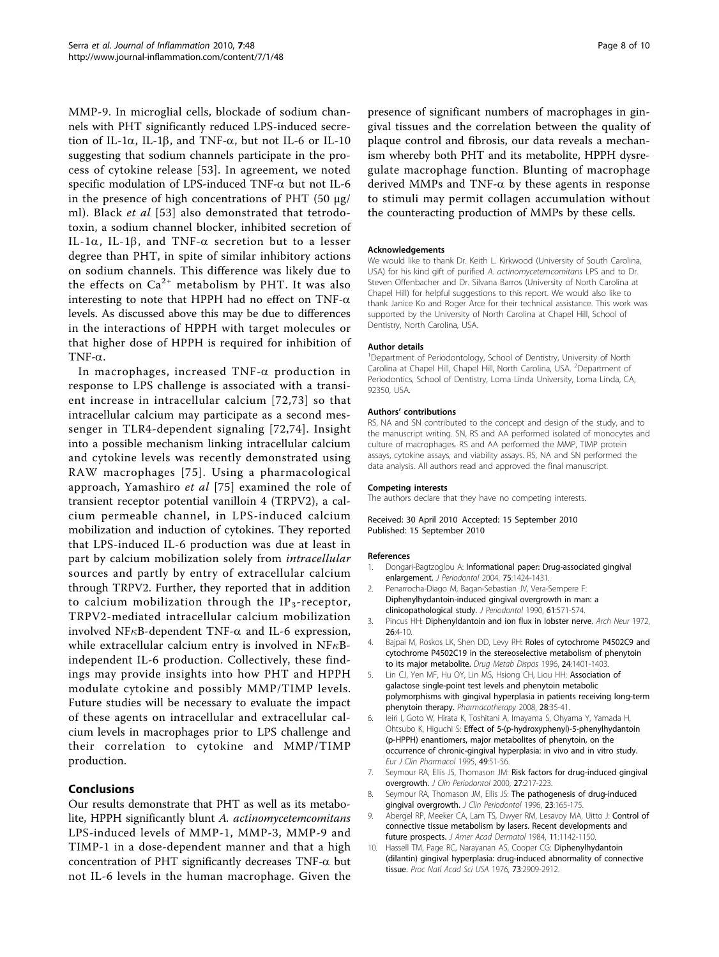<span id="page-7-0"></span>MMP-9. In microglial cells, blockade of sodium channels with PHT significantly reduced LPS-induced secretion of IL-1 $\alpha$ , IL-1 $\beta$ , and TNF- $\alpha$ , but not IL-6 or IL-10 suggesting that sodium channels participate in the process of cytokine release [[53](#page-9-0)]. In agreement, we noted specific modulation of LPS-induced TNF- $\alpha$  but not IL-6 in the presence of high concentrations of PHT  $(50 \mu g)$ ml). Black *et al* [[53\]](#page-9-0) also demonstrated that tetrodotoxin, a sodium channel blocker, inhibited secretion of IL-1 $\alpha$ , IL-1 $\beta$ , and TNF- $\alpha$  secretion but to a lesser degree than PHT, in spite of similar inhibitory actions on sodium channels. This difference was likely due to the effects on  $Ca^{2+}$  metabolism by PHT. It was also interesting to note that HPPH had no effect on TNF- $\alpha$ levels. As discussed above this may be due to differences in the interactions of HPPH with target molecules or that higher dose of HPPH is required for inhibition of TNF- $\alpha$ .

In macrophages, increased  $TNF-\alpha$  production in response to LPS challenge is associated with a transient increase in intracellular calcium [[72](#page-9-0),[73](#page-9-0)] so that intracellular calcium may participate as a second messenger in TLR4-dependent signaling [[72](#page-9-0),[74](#page-9-0)]. Insight into a possible mechanism linking intracellular calcium and cytokine levels was recently demonstrated using RAW macrophages [[75\]](#page-9-0). Using a pharmacological approach, Yamashiro et al [[75](#page-9-0)] examined the role of transient receptor potential vanilloin 4 (TRPV2), a calcium permeable channel, in LPS-induced calcium mobilization and induction of cytokines. They reported that LPS-induced IL-6 production was due at least in part by calcium mobilization solely from intracellular sources and partly by entry of extracellular calcium through TRPV2. Further, they reported that in addition to calcium mobilization through the  $IP_3$ -receptor, TRPV2-mediated intracellular calcium mobilization involved NF $\kappa$ B-dependent TNF- $\alpha$  and IL-6 expression, while extracellular calcium entry is involved in  $N F \kappa B$ independent IL-6 production. Collectively, these findings may provide insights into how PHT and HPPH modulate cytokine and possibly MMP/TIMP levels. Future studies will be necessary to evaluate the impact of these agents on intracellular and extracellular calcium levels in macrophages prior to LPS challenge and their correlation to cytokine and MMP/TIMP production.

# Conclusions

Our results demonstrate that PHT as well as its metabolite, HPPH significantly blunt A. actinomycetemcomitans LPS-induced levels of MMP-1, MMP-3, MMP-9 and TIMP-1 in a dose-dependent manner and that a high concentration of PHT significantly decreases  $TNF-\alpha$  but not IL-6 levels in the human macrophage. Given the presence of significant numbers of macrophages in gingival tissues and the correlation between the quality of plaque control and fibrosis, our data reveals a mechanism whereby both PHT and its metabolite, HPPH dysregulate macrophage function. Blunting of macrophage derived MMPs and TNF- $\alpha$  by these agents in response to stimuli may permit collagen accumulation without the counteracting production of MMPs by these cells.

### Acknowledgements

We would like to thank Dr. Keith L. Kirkwood (University of South Carolina, USA) for his kind gift of purified A. actinomycetemcomitans LPS and to Dr. Steven Offenbacher and Dr. Silvana Barros (University of North Carolina at Chapel Hill) for helpful suggestions to this report. We would also like to thank Janice Ko and Roger Arce for their technical assistance. This work was supported by the University of North Carolina at Chapel Hill, School of Dentistry, North Carolina, USA.

#### Author details

<sup>1</sup>Department of Periodontology, School of Dentistry, University of North Carolina at Chapel Hill, Chapel Hill, North Carolina, USA. <sup>2</sup> Department of Periodontics, School of Dentistry, Loma Linda University, Loma Linda, CA, 92350, USA.

#### Authors' contributions

RS, NA and SN contributed to the concept and design of the study, and to the manuscript writing. SN, RS and AA performed isolated of monocytes and culture of macrophages. RS and AA performed the MMP, TIMP protein assays, cytokine assays, and viability assays. RS, NA and SN performed the data analysis. All authors read and approved the final manuscript.

#### Competing interests

The authors declare that they have no competing interests.

#### Received: 30 April 2010 Accepted: 15 September 2010 Published: 15 September 2010

#### References

- Dongari-Bagtzoglou A: [Informational paper: Drug-associated gingival](http://www.ncbi.nlm.nih.gov/pubmed/15562922?dopt=Abstract) [enlargement.](http://www.ncbi.nlm.nih.gov/pubmed/15562922?dopt=Abstract) J Periodontol 2004, 75:1424-1431.
- 2. Penarrocha-Diago M, Bagan-Sebastian JV, Vera-Sempere F: [Diphenylhydantoin-induced gingival overgrowth in man: a](http://www.ncbi.nlm.nih.gov/pubmed/2213467?dopt=Abstract) [clinicopathological study.](http://www.ncbi.nlm.nih.gov/pubmed/2213467?dopt=Abstract) J Periodontol 1990, 61:571-574.
- 3. Pincus HH: Diphenyldantoin and ion flux in lobster nerve. Arch Neur 1972, 26:4-10.
- 4. Bajpai M, Roskos LK, Shen DD, Levy RH: [Roles of cytochrome P4502C9 and](http://www.ncbi.nlm.nih.gov/pubmed/8971149?dopt=Abstract) [cytochrome P4502C19 in the stereoselective metabolism of phenytoin](http://www.ncbi.nlm.nih.gov/pubmed/8971149?dopt=Abstract) [to its major metabolite.](http://www.ncbi.nlm.nih.gov/pubmed/8971149?dopt=Abstract) Drug Metab Dispos 1996, 24:1401-1403.
- 5. Lin CJ, Yen MF, Hu OY, Lin MS, Hsiong CH, Liou HH: [Association of](http://www.ncbi.nlm.nih.gov/pubmed/18154472?dopt=Abstract) [galactose single-point test levels and phenytoin metabolic](http://www.ncbi.nlm.nih.gov/pubmed/18154472?dopt=Abstract) [polymorphisms with gingival hyperplasia in patients receiving long-term](http://www.ncbi.nlm.nih.gov/pubmed/18154472?dopt=Abstract) [phenytoin therapy.](http://www.ncbi.nlm.nih.gov/pubmed/18154472?dopt=Abstract) Pharmacotherapy 2008, 28:35-41.
- 6. Ieiri I, Goto W, Hirata K, Toshitani A, Imayama S, Ohyama Y, Yamada H, Ohtsubo K, Higuchi S: [Effect of 5-\(p-hydroxyphenyl\)-5-phenylhydantoin](http://www.ncbi.nlm.nih.gov/pubmed/8751021?dopt=Abstract) [\(p-HPPH\) enantiomers, major metabolites of phenytoin, on the](http://www.ncbi.nlm.nih.gov/pubmed/8751021?dopt=Abstract) [occurrence of chronic-gingival hyperplasia: in vivo and in vitro study.](http://www.ncbi.nlm.nih.gov/pubmed/8751021?dopt=Abstract) Eur J Clin Pharmacol 1995, 49:51-56.
- 7. Seymour RA, Ellis JS, Thomason JM: [Risk factors for drug-induced gingival](http://www.ncbi.nlm.nih.gov/pubmed/10783833?dopt=Abstract) [overgrowth.](http://www.ncbi.nlm.nih.gov/pubmed/10783833?dopt=Abstract) J Clin Periodontol 2000, 27:217-223.
- 8. Seymour RA, Thomason JM, Ellis JS: [The pathogenesis of drug-induced](http://www.ncbi.nlm.nih.gov/pubmed/8707974?dopt=Abstract) [gingival overgrowth.](http://www.ncbi.nlm.nih.gov/pubmed/8707974?dopt=Abstract) J Clin Periodontol 1996, 23:165-175.
- 9. Abergel RP, Meeker CA, Lam TS, Dwyer RM, Lesavoy MA, Uitto J: Control of connective tissue metabolism by lasers. Recent developments and future prospects. J Amer Acad Dermatol 1984, 11:1142-1150.
- 10. Hassell TM, Page RC, Narayanan AS, Cooper CG: [Diphenylhydantoin](http://www.ncbi.nlm.nih.gov/pubmed/1066702?dopt=Abstract) [\(dilantin\) gingival hyperplasia: drug-induced abnormality of connective](http://www.ncbi.nlm.nih.gov/pubmed/1066702?dopt=Abstract) [tissue.](http://www.ncbi.nlm.nih.gov/pubmed/1066702?dopt=Abstract) Proc Natl Acad Sci USA 1976, 73:2909-2912.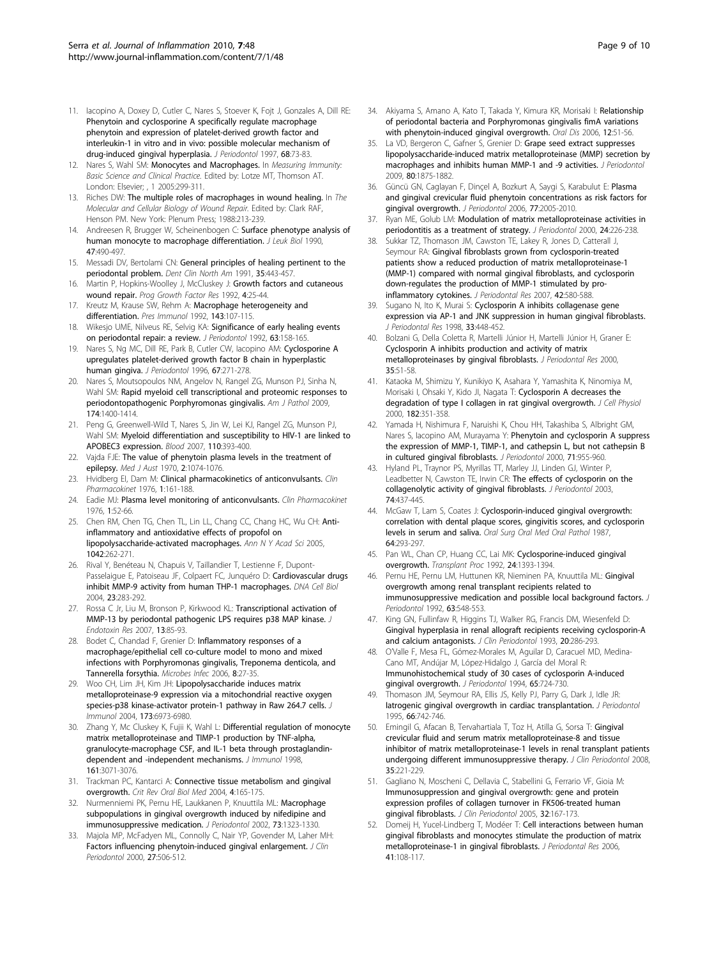- <span id="page-8-0"></span>11. Iacopino A, Doxey D, Cutler C, Nares S, Stoever K, Foit J, Gonzales A, Dill RE: [Phenytoin and cyclosporine A specifically regulate macrophage](http://www.ncbi.nlm.nih.gov/pubmed/9029455?dopt=Abstract) [phenytoin and expression of platelet-derived growth factor and](http://www.ncbi.nlm.nih.gov/pubmed/9029455?dopt=Abstract) [interleukin-1 in vitro and in vivo: possible molecular mechanism of](http://www.ncbi.nlm.nih.gov/pubmed/9029455?dopt=Abstract) [drug-induced gingival hyperplasia.](http://www.ncbi.nlm.nih.gov/pubmed/9029455?dopt=Abstract) J Periodontol 1997, 68:73-83.
- 12. Nares S, Wahl SM: Monocytes and Macrophages. In Measuring Immunity: Basic Science and Clinical Practice. Edited by: Lotze MT, Thomson AT. London: Elsevier; , 1 2005:299-311.
- 13. Riches DW: The multiple roles of macrophages in wound healing. In The Molecular and Cellular Biology of Wound Repair. Edited by: Clark RAF, Henson PM. New York: Plenum Press; 1988:213-239.
- 14. Andreesen R, Brugger W, Scheinenbogen C: Surface phenotype analysis of human monocyte to macrophage differentiation. J Leuk Biol 1990, 47:490-497.
- 15. Messadi DV, Bertolami CN: [General principles of healing pertinent to the](http://www.ncbi.nlm.nih.gov/pubmed/1879568?dopt=Abstract) [periodontal problem.](http://www.ncbi.nlm.nih.gov/pubmed/1879568?dopt=Abstract) Dent Clin North Am 1991, 35:443-457.
- 16. Martin P, Hopkins-Woolley J, McCluskey J: [Growth factors and cutaneous](http://www.ncbi.nlm.nih.gov/pubmed/1325207?dopt=Abstract) [wound repair.](http://www.ncbi.nlm.nih.gov/pubmed/1325207?dopt=Abstract) Prog Growth Factor Res 1992, 4:25-44.
- 17. Kreutz M, Krause SW, Rehm A: Macrophage heterogeneity and differentiation. Pres Immunol 1992, 143:107-115.
- 18. Wikesjo UME, Nilveus RE, Selvig KA: [Significance of early healing events](http://www.ncbi.nlm.nih.gov/pubmed/1593409?dopt=Abstract) [on periodontal repair: a review.](http://www.ncbi.nlm.nih.gov/pubmed/1593409?dopt=Abstract) J Periodontol 1992, 63:158-165.
- 19. Nares S, Ng MC, Dill RE, Park B, Cutler CW, Iacopino AM: [Cyclosporine A](http://www.ncbi.nlm.nih.gov/pubmed/8708960?dopt=Abstract) [upregulates platelet-derived growth factor B chain in hyperplastic](http://www.ncbi.nlm.nih.gov/pubmed/8708960?dopt=Abstract) [human gingiva.](http://www.ncbi.nlm.nih.gov/pubmed/8708960?dopt=Abstract) J Periodontol 1996, 67:271-278.
- 20. Nares S, Moutsopoulos NM, Angelov N, Rangel ZG, Munson PJ, Sinha N, Wahl SM: [Rapid myeloid cell transcriptional and proteomic responses to](http://www.ncbi.nlm.nih.gov/pubmed/19264901?dopt=Abstract) [periodontopathogenic Porphyromonas gingivalis.](http://www.ncbi.nlm.nih.gov/pubmed/19264901?dopt=Abstract) Am J Pathol 2009, 174:1400-1414.
- 21. Peng G, Greenwell-Wild T, Nares S, Jin W, Lei KJ, Rangel ZG, Munson PJ, Wahl SM: [Myeloid differentiation and susceptibility to HIV-1 are linked to](http://www.ncbi.nlm.nih.gov/pubmed/17371941?dopt=Abstract) [APOBEC3 expression.](http://www.ncbi.nlm.nih.gov/pubmed/17371941?dopt=Abstract) Blood 2007, 110:393-400.
- 22. Vajda FJE: [The value of phenytoin plasma levels in the treatment of](http://www.ncbi.nlm.nih.gov/pubmed/5491081?dopt=Abstract) [epilepsy.](http://www.ncbi.nlm.nih.gov/pubmed/5491081?dopt=Abstract) Med J Aust 1970, 2:1074-1076.
- 23. Hvidberg EI, Dam M: [Clinical pharmacokinetics of anticonvulsants.](http://www.ncbi.nlm.nih.gov/pubmed/797496?dopt=Abstract) Clin Pharmacokinet 1976, 1:161-188.
- 24. Eadie MJ: [Plasma level monitoring of anticonvulsants.](http://www.ncbi.nlm.nih.gov/pubmed/797492?dopt=Abstract) Clin Pharmacokinet 1976, 1:52-66.
- 25. Chen RM, Chen TG, Chen TL, Lin LL, Chang CC, Chang HC, Wu CH: [Anti](http://www.ncbi.nlm.nih.gov/pubmed/15965071?dopt=Abstract)[inflammatory and antioxidative effects of propofol on](http://www.ncbi.nlm.nih.gov/pubmed/15965071?dopt=Abstract) [lipopolysaccharide-activated macrophages.](http://www.ncbi.nlm.nih.gov/pubmed/15965071?dopt=Abstract) Ann N Y Acad Sci 2005, 1042:262-271.
- 26. Rival Y, Benéteau N, Chapuis V, Taillandier T, Lestienne F, Dupont-Passelaigue E, Patoiseau JF, Colpaert FC, Junquéro D: [Cardiovascular drugs](http://www.ncbi.nlm.nih.gov/pubmed/15169608?dopt=Abstract) [inhibit MMP-9 activity from human THP-1 macrophages.](http://www.ncbi.nlm.nih.gov/pubmed/15169608?dopt=Abstract) DNA Cell Biol 2004, 23:283-292.
- 27. Rossa C Jr, Liu M, Bronson P, Kirkwood KL: [Transcriptional activation of](http://www.ncbi.nlm.nih.gov/pubmed/17621549?dopt=Abstract) [MMP-13 by periodontal pathogenic LPS requires p38 MAP kinase.](http://www.ncbi.nlm.nih.gov/pubmed/17621549?dopt=Abstract) J Endotoxin Res 2007, 13:85-93.
- 28. Bodet C, Chandad F, Grenier D: Inflammatory responses of a macrophage/epithelial cell co-culture model to mono and mixed infections with Porphyromonas gingivalis, Treponema denticola, and Tannerella forsythia. Microbes Infec 2006, 8:27-35.
- 29. Woo CH, Lim JH, Kim JH: [Lipopolysaccharide induces matrix](http://www.ncbi.nlm.nih.gov/pubmed/15557194?dopt=Abstract) [metalloproteinase-9 expression via a mitochondrial reactive oxygen](http://www.ncbi.nlm.nih.gov/pubmed/15557194?dopt=Abstract) [species-p38 kinase-activator protein-1 pathway in Raw 264.7 cells.](http://www.ncbi.nlm.nih.gov/pubmed/15557194?dopt=Abstract) J Immunol 2004, 173:6973-6980.
- 30. Zhang Y, Mc Cluskey K, Fujii K, Wahl L: [Differential regulation of monocyte](http://www.ncbi.nlm.nih.gov/pubmed/9743373?dopt=Abstract) [matrix metalloproteinase and TIMP-1 production by TNF-alpha,](http://www.ncbi.nlm.nih.gov/pubmed/9743373?dopt=Abstract) [granulocyte-macrophage CSF, and IL-1 beta through prostaglandin](http://www.ncbi.nlm.nih.gov/pubmed/9743373?dopt=Abstract)[dependent and -independent mechanisms.](http://www.ncbi.nlm.nih.gov/pubmed/9743373?dopt=Abstract) J Immunol 1998, 161:3071-3076.
- 31. Trackman PC, Kantarci A: Connective tissue metabolism and gingival overgrowth. Crit Rev Oral Biol Med 2004, 4:165-175.
- 32. Nurmenniemi PK, Pernu HE, Laukkanen P, Knuuttila ML: [Macrophage](http://www.ncbi.nlm.nih.gov/pubmed/12479637?dopt=Abstract) [subpopulations in gingival overgrowth induced by nifedipine and](http://www.ncbi.nlm.nih.gov/pubmed/12479637?dopt=Abstract) [immunosuppressive medication.](http://www.ncbi.nlm.nih.gov/pubmed/12479637?dopt=Abstract) J Periodontol 2002, 73:1323-1330.
- 33. Majola MP, McFadyen ML, Connolly C, Nair YP, Govender M, Laher MH: [Factors influencing phenytoin-induced gingival enlargement.](http://www.ncbi.nlm.nih.gov/pubmed/10914892?dopt=Abstract) J Clin Periodontol 2000, 27:506-512.
- 34. Akiyama S, Amano A, Kato T, Takada Y, Kimura KR, Morisaki I: [Relationship](http://www.ncbi.nlm.nih.gov/pubmed/16390469?dopt=Abstract) [of periodontal bacteria and Porphyromonas gingivalis fimA variations](http://www.ncbi.nlm.nih.gov/pubmed/16390469?dopt=Abstract) [with phenytoin-induced gingival overgrowth.](http://www.ncbi.nlm.nih.gov/pubmed/16390469?dopt=Abstract) Oral Dis 2006, 12:51-56.
- 35. La VD, Bergeron C, Gafner S, Grenier D: [Grape seed extract suppresses](http://www.ncbi.nlm.nih.gov/pubmed/19905958?dopt=Abstract) [lipopolysaccharide-induced matrix metalloproteinase \(MMP\) secretion by](http://www.ncbi.nlm.nih.gov/pubmed/19905958?dopt=Abstract) [macrophages and inhibits human MMP-1 and -9 activities.](http://www.ncbi.nlm.nih.gov/pubmed/19905958?dopt=Abstract) J Periodontol 2009, 80:1875-1882.
- 36. Güncü GN, Caglayan F, Dinçel A, Bozkurt A, Saygi S, Karabulut E: [Plasma](http://www.ncbi.nlm.nih.gov/pubmed/17209785?dopt=Abstract) [and gingival crevicular fluid phenytoin concentrations as risk factors for](http://www.ncbi.nlm.nih.gov/pubmed/17209785?dopt=Abstract) [gingival overgrowth.](http://www.ncbi.nlm.nih.gov/pubmed/17209785?dopt=Abstract) J Periodontol 2006, 77:2005-2010.
- 37. Ryan ME, Golub LM: Modulation of matrix metalloproteinase activities in periodontitis as a treatment of strategy. J Periodontol 2000, 24:226-238.
- 38. Sukkar TZ, Thomason JM, Cawston TE, Lakey R, Jones D, Catterall J, Seymour RA: [Gingival fibroblasts grown from cyclosporin-treated](http://www.ncbi.nlm.nih.gov/pubmed/17956473?dopt=Abstract) [patients show a reduced production of matrix metalloproteinase-1](http://www.ncbi.nlm.nih.gov/pubmed/17956473?dopt=Abstract) [\(MMP-1\) compared with normal gingival fibroblasts, and cyclosporin](http://www.ncbi.nlm.nih.gov/pubmed/17956473?dopt=Abstract) [down-regulates the production of MMP-1 stimulated by pro](http://www.ncbi.nlm.nih.gov/pubmed/17956473?dopt=Abstract)[inflammatory cytokines.](http://www.ncbi.nlm.nih.gov/pubmed/17956473?dopt=Abstract) J Periodontal Res 2007, 42:580-588.
- Sugano N, Ito K, Murai S: [Cyclosporin A inhibits collagenase gene](http://www.ncbi.nlm.nih.gov/pubmed/9879517?dopt=Abstract) [expression via AP-1 and JNK suppression in human gingival fibroblasts.](http://www.ncbi.nlm.nih.gov/pubmed/9879517?dopt=Abstract) J Periodontal Res 1998, 33:448-452.
- 40. Bolzani G, Della Coletta R, Martelli Júnior H, Martelli Júnior H, Graner E: [Cyclosporin A inhibits production and activity of matrix](http://www.ncbi.nlm.nih.gov/pubmed/10791709?dopt=Abstract) [metalloproteinases by gingival fibroblasts.](http://www.ncbi.nlm.nih.gov/pubmed/10791709?dopt=Abstract) J Periodontal Res 2000, 35:51-58.
- 41. Kataoka M, Shimizu Y, Kunikiyo K, Asahara Y, Yamashita K, Ninomiya M, Morisaki I, Ohsaki Y, Kido JI, Nagata T: [Cyclosporin A decreases the](http://www.ncbi.nlm.nih.gov/pubmed/10653601?dopt=Abstract) [degradation of type I collagen in rat gingival overgrowth.](http://www.ncbi.nlm.nih.gov/pubmed/10653601?dopt=Abstract) J Cell Physiol 2000, 182:351-358.
- 42. Yamada H, Nishimura F, Naruishi K, Chou HH, Takashiba S, Albright GM, Nares S, Iacopino AM, Murayama Y: [Phenytoin and cyclosporin A suppress](http://www.ncbi.nlm.nih.gov/pubmed/10914799?dopt=Abstract) [the expression of MMP-1, TIMP-1, and cathepsin L, but not cathepsin B](http://www.ncbi.nlm.nih.gov/pubmed/10914799?dopt=Abstract) [in cultured gingival fibroblasts.](http://www.ncbi.nlm.nih.gov/pubmed/10914799?dopt=Abstract) J Periodontol 2000, 71:955-960.
- 43. Hyland PL, Traynor PS, Myrillas TT, Marley JJ, Linden GJ, Winter P, Leadbetter N, Cawston TE, Irwin CR: [The effects of cyclosporin on the](http://www.ncbi.nlm.nih.gov/pubmed/12747447?dopt=Abstract) [collagenolytic activity of gingival fibroblasts.](http://www.ncbi.nlm.nih.gov/pubmed/12747447?dopt=Abstract) J Periodontol 2003, 74:437-445.
- 44. McGaw T, Lam S, Coates J: [Cyclosporin-induced gingival overgrowth:](http://www.ncbi.nlm.nih.gov/pubmed/3477745?dopt=Abstract) [correlation with dental plaque scores, gingivitis scores, and cyclosporin](http://www.ncbi.nlm.nih.gov/pubmed/3477745?dopt=Abstract) [levels in serum and saliva.](http://www.ncbi.nlm.nih.gov/pubmed/3477745?dopt=Abstract) Oral Surg Oral Med Oral Pathol 1987, 64:293-297.
- 45. Pan WL, Chan CP, Huang CC, Lai MK: [Cyclosporine-induced gingival](http://www.ncbi.nlm.nih.gov/pubmed/1496598?dopt=Abstract) [overgrowth.](http://www.ncbi.nlm.nih.gov/pubmed/1496598?dopt=Abstract) Transplant Proc 1992, 24:1393-1394.
- 46. Pernu HE, Pernu LM, Huttunen KR, Nieminen PA, Knuuttila ML: [Gingival](http://www.ncbi.nlm.nih.gov/pubmed/1625155?dopt=Abstract) [overgrowth among renal transplant recipients related to](http://www.ncbi.nlm.nih.gov/pubmed/1625155?dopt=Abstract) [immunosuppressive medication and possible local background factors.](http://www.ncbi.nlm.nih.gov/pubmed/1625155?dopt=Abstract) J Periodontol 1992, 63:548-553.
- 47. King GN, Fullinfaw R, Higgins TJ, Walker RG, Francis DM, Wiesenfeld D: [Gingival hyperplasia in renal allograft recipients receiving cyclosporin-A](http://www.ncbi.nlm.nih.gov/pubmed/8473540?dopt=Abstract) [and calcium antagonists.](http://www.ncbi.nlm.nih.gov/pubmed/8473540?dopt=Abstract) J Clin Periodontol 1993, 20:286-293
- 48. O'Valle F, Mesa FL, Gómez-Morales M, Aguilar D, Caracuel MD, Medina-Cano MT, Andújar M, López-Hidalgo J, García del Moral R: [Immunohistochemical study of 30 cases of cyclosporin A-induced](http://www.ncbi.nlm.nih.gov/pubmed/7608852?dopt=Abstract) [gingival overgrowth.](http://www.ncbi.nlm.nih.gov/pubmed/7608852?dopt=Abstract) J Periodontol 1994, 65:724-730.
- 49. Thomason JM, Seymour RA, Ellis JS, Kelly PJ, Parry G, Dark J, Idle JR: [Iatrogenic gingival overgrowth in cardiac transplantation.](http://www.ncbi.nlm.nih.gov/pubmed/7473018?dopt=Abstract) J Periodontol 1995, 66:742-746.
- 50. Emingil G, Afacan B, Tervahartiala T, Toz H, Atilla G, Sorsa T: [Gingival](http://www.ncbi.nlm.nih.gov/pubmed/18269661?dopt=Abstract) [crevicular fluid and serum matrix metalloproteinase-8 and tissue](http://www.ncbi.nlm.nih.gov/pubmed/18269661?dopt=Abstract) [inhibitor of matrix metalloproteinase-1 levels in renal transplant patients](http://www.ncbi.nlm.nih.gov/pubmed/18269661?dopt=Abstract) [undergoing different immunosuppressive therapy.](http://www.ncbi.nlm.nih.gov/pubmed/18269661?dopt=Abstract) J Clin Periodontol 2008, 35:221-229.
- 51. Gagliano N, Moscheni C, Dellavia C, Stabellini G, Ferrario VF, Gioia M: [Immunosuppression and gingival overgrowth: gene and protein](http://www.ncbi.nlm.nih.gov/pubmed/15691347?dopt=Abstract) [expression profiles of collagen turnover in FK506-treated human](http://www.ncbi.nlm.nih.gov/pubmed/15691347?dopt=Abstract) [gingival fibroblasts.](http://www.ncbi.nlm.nih.gov/pubmed/15691347?dopt=Abstract) J Clin Periodontol 2005, 32:167-173.
- 52. Domeij H, Yucel-Lindberg T, Modéer T: [Cell interactions between human](http://www.ncbi.nlm.nih.gov/pubmed/16499713?dopt=Abstract) [gingival fibroblasts and monocytes stimulate the production of matrix](http://www.ncbi.nlm.nih.gov/pubmed/16499713?dopt=Abstract) [metalloproteinase-1 in gingival fibroblasts.](http://www.ncbi.nlm.nih.gov/pubmed/16499713?dopt=Abstract) J Periodontal Res 2006, 41:108-117.